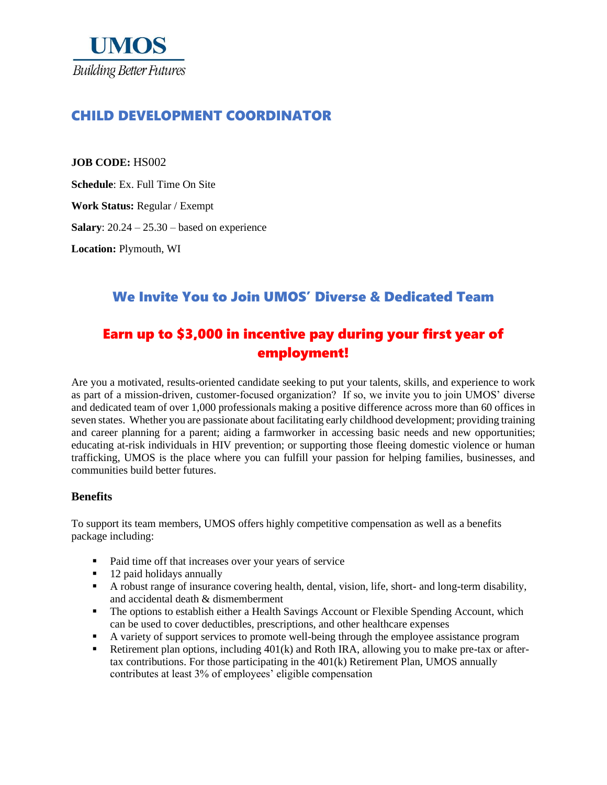

## CHILD DEVELOPMENT COORDINATOR

**JOB CODE:** HS002

**Schedule**: Ex. Full Time On Site

**Work Status:** Regular / Exempt

**Salary**: 20.24 – 25.30 – based on experience

**Location:** Plymouth, WI

## We Invite You to Join UMOS' Diverse & Dedicated Team

# Earn up to \$3,000 in incentive pay during your first year of employment!

Are you a motivated, results-oriented candidate seeking to put your talents, skills, and experience to work as part of a mission-driven, customer-focused organization? If so, we invite you to join UMOS' diverse and dedicated team of over 1,000 professionals making a positive difference across more than 60 offices in seven states. Whether you are passionate about facilitating early childhood development; providing training and career planning for a parent; aiding a farmworker in accessing basic needs and new opportunities; educating at-risk individuals in HIV prevention; or supporting those fleeing domestic violence or human trafficking, UMOS is the place where you can fulfill your passion for helping families, businesses, and communities build better futures.

#### **Benefits**

To support its team members, UMOS offers highly competitive compensation as well as a benefits package including:

- Paid time off that increases over your years of service
- 12 paid holidays annually
- A robust range of insurance covering health, dental, vision, life, short- and long-term disability, and accidental death & dismemberment
- **•** The options to establish either a Health Savings Account or Flexible Spending Account, which can be used to cover deductibles, prescriptions, and other healthcare expenses
- A variety of support services to promote well-being through the employee assistance program
- Retirement plan options, including 401(k) and Roth IRA, allowing you to make pre-tax or aftertax contributions. For those participating in the  $401(k)$  Retirement Plan, UMOS annually contributes at least 3% of employees' eligible compensation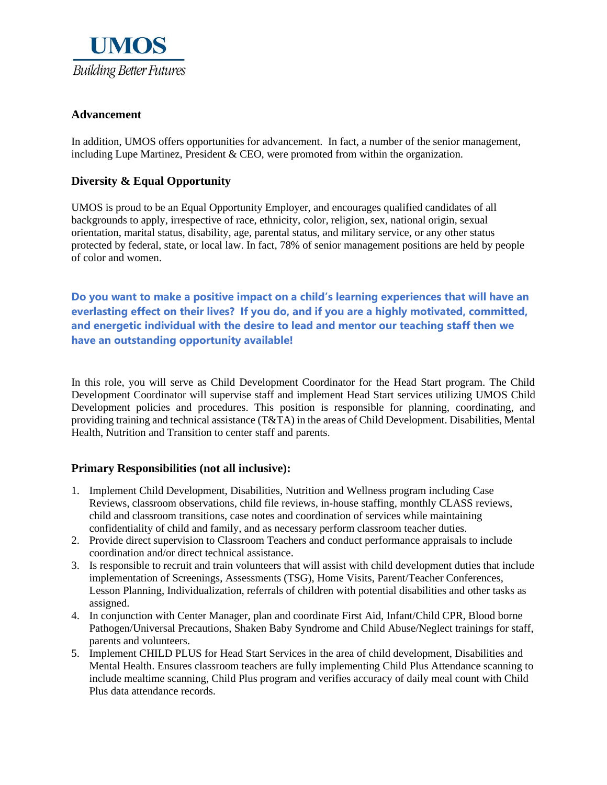

### **Advancement**

In addition, UMOS offers opportunities for advancement. In fact, a number of the senior management, including Lupe Martinez, President  $\&$  CEO, were promoted from within the organization.

### **Diversity & Equal Opportunity**

UMOS is proud to be an Equal Opportunity Employer, and encourages qualified candidates of all backgrounds to apply, irrespective of race, ethnicity, color, religion, sex, national origin, sexual orientation, marital status, disability, age, parental status, and military service, or any other status protected by federal, state, or local law. In fact, 78% of senior management positions are held by people of color and women.

**Do you want to make a positive impact on a child's learning experiences that will have an everlasting effect on their lives? If you do, and if you are a highly motivated, committed, and energetic individual with the desire to lead and mentor our teaching staff then we have an outstanding opportunity available!**

In this role, you will serve as Child Development Coordinator for the Head Start program. The Child Development Coordinator will supervise staff and implement Head Start services utilizing UMOS Child Development policies and procedures. This position is responsible for planning, coordinating, and providing training and technical assistance (T&TA) in the areas of Child Development. Disabilities, Mental Health, Nutrition and Transition to center staff and parents.

### **Primary Responsibilities (not all inclusive):**

- 1. Implement Child Development, Disabilities, Nutrition and Wellness program including Case Reviews, classroom observations, child file reviews, in-house staffing, monthly CLASS reviews, child and classroom transitions, case notes and coordination of services while maintaining confidentiality of child and family, and as necessary perform classroom teacher duties.
- 2. Provide direct supervision to Classroom Teachers and conduct performance appraisals to include coordination and/or direct technical assistance.
- 3. Is responsible to recruit and train volunteers that will assist with child development duties that include implementation of Screenings, Assessments (TSG), Home Visits, Parent/Teacher Conferences, Lesson Planning, Individualization, referrals of children with potential disabilities and other tasks as assigned.
- 4. In conjunction with Center Manager, plan and coordinate First Aid, Infant/Child CPR, Blood borne Pathogen/Universal Precautions, Shaken Baby Syndrome and Child Abuse/Neglect trainings for staff, parents and volunteers.
- 5. Implement CHILD PLUS for Head Start Services in the area of child development, Disabilities and Mental Health. Ensures classroom teachers are fully implementing Child Plus Attendance scanning to include mealtime scanning, Child Plus program and verifies accuracy of daily meal count with Child Plus data attendance records.